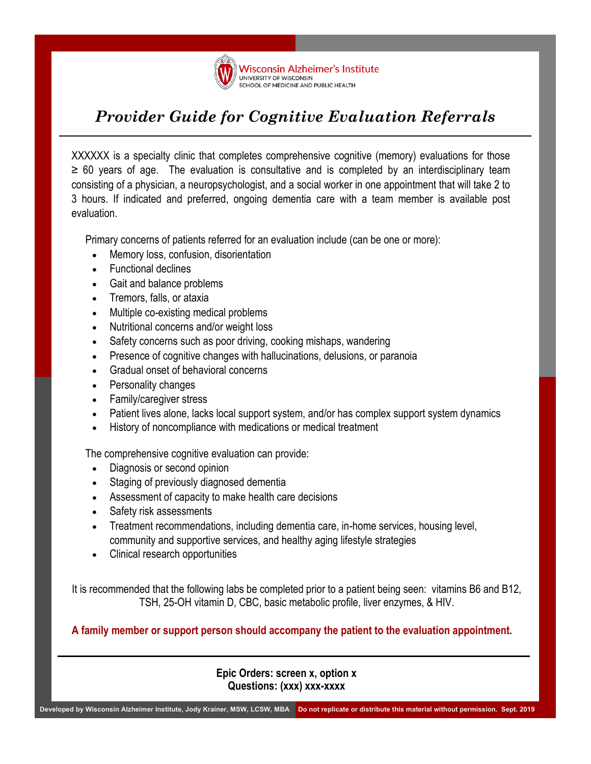

## *Provider Guide for Cognitive Evaluation Referrals*

XXXXXX is a specialty clinic that completes comprehensive cognitive (memory) evaluations for those  $\geq$  60 years of age. The evaluation is consultative and is completed by an interdisciplinary team consisting of a physician, a neuropsychologist, and a social worker in one appointment that will take 2 to 3 hours. If indicated and preferred, ongoing dementia care with a team member is available post evaluation.

Primary concerns of patients referred for an evaluation include (can be one or more):

- Memory loss, confusion, disorientation
- Functional declines
- Gait and balance problems
- Tremors, falls, or ataxia
- Multiple co-existing medical problems
- Nutritional concerns and/or weight loss
- Safety concerns such as poor driving, cooking mishaps, wandering
- Presence of cognitive changes with hallucinations, delusions, or paranoia
- Gradual onset of behavioral concerns
- Personality changes
- Family/caregiver stress
- Patient lives alone, lacks local support system, and/or has complex support system dynamics
- History of noncompliance with medications or medical treatment

The comprehensive cognitive evaluation can provide:

- Diagnosis or second opinion
- Staging of previously diagnosed dementia
- Assessment of capacity to make health care decisions
- Safety risk assessments
- Treatment recommendations, including dementia care, in-home services, housing level, community and supportive services, and healthy aging lifestyle strategies
- Clinical research opportunities

It is recommended that the following labs be completed prior to a patient being seen: vitamins B6 and B12, TSH, 25-OH vitamin D, CBC, basic metabolic profile, liver enzymes, & HIV.

**A family member or support person should accompany the patient to the evaluation appointment.**

**Epic Orders: screen x, option x Questions: (xxx) xxx-xxxx** 

**Developed by Wisconsin Alzheimer Institute, Jody Krainer, MSW, LCSW, MBA Do not replicate or distribute this material without permission. Sept. 2019**